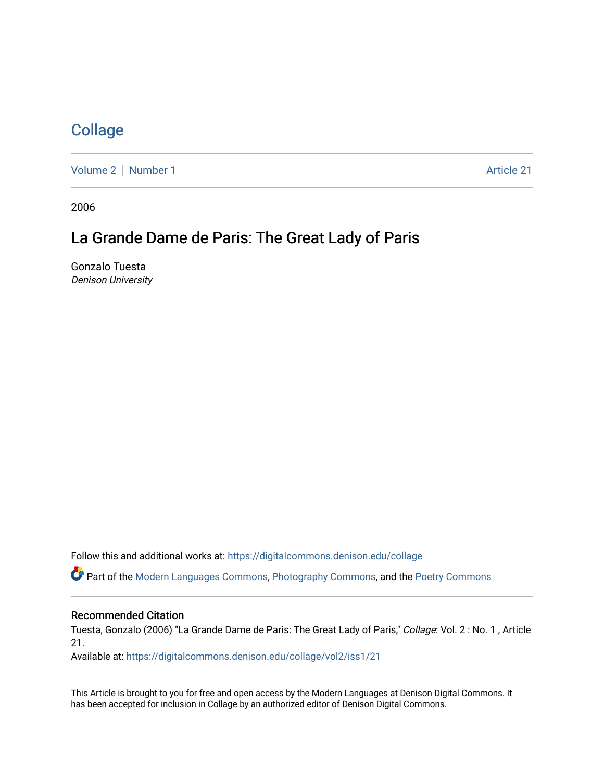# **[Collage](https://digitalcommons.denison.edu/collage)**

[Volume 2](https://digitalcommons.denison.edu/collage/vol2) | [Number 1](https://digitalcommons.denison.edu/collage/vol2/iss1) Article 21

2006

# La Grande Dame de Paris: The Great Lady of Paris

Gonzalo Tuesta Denison University

Follow this and additional works at: [https://digitalcommons.denison.edu/collage](https://digitalcommons.denison.edu/collage?utm_source=digitalcommons.denison.edu%2Fcollage%2Fvol2%2Fiss1%2F21&utm_medium=PDF&utm_campaign=PDFCoverPages) 

Part of the [Modern Languages Commons,](http://network.bepress.com/hgg/discipline/1130?utm_source=digitalcommons.denison.edu%2Fcollage%2Fvol2%2Fiss1%2F21&utm_medium=PDF&utm_campaign=PDFCoverPages) [Photography Commons](http://network.bepress.com/hgg/discipline/1142?utm_source=digitalcommons.denison.edu%2Fcollage%2Fvol2%2Fiss1%2F21&utm_medium=PDF&utm_campaign=PDFCoverPages), and the [Poetry Commons](http://network.bepress.com/hgg/discipline/1153?utm_source=digitalcommons.denison.edu%2Fcollage%2Fvol2%2Fiss1%2F21&utm_medium=PDF&utm_campaign=PDFCoverPages)

#### Recommended Citation

Tuesta, Gonzalo (2006) "La Grande Dame de Paris: The Great Lady of Paris," Collage: Vol. 2 : No. 1 , Article 21.

Available at: [https://digitalcommons.denison.edu/collage/vol2/iss1/21](https://digitalcommons.denison.edu/collage/vol2/iss1/21?utm_source=digitalcommons.denison.edu%2Fcollage%2Fvol2%2Fiss1%2F21&utm_medium=PDF&utm_campaign=PDFCoverPages)

This Article is brought to you for free and open access by the Modern Languages at Denison Digital Commons. It has been accepted for inclusion in Collage by an authorized editor of Denison Digital Commons.